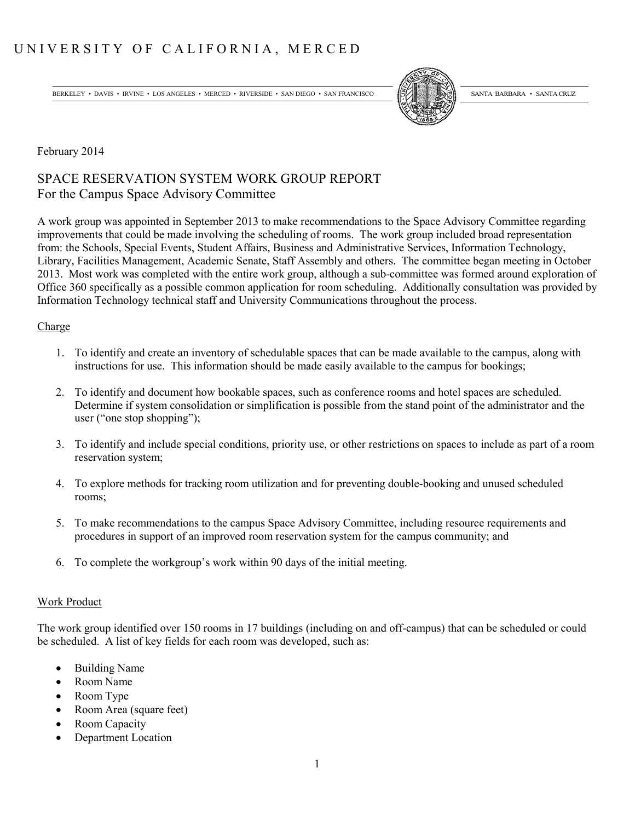# UNIVERSITY OF CALIFORNIA, MERCED

BERKELEY • DAVIS • IRVINE • LOS ANGELES • MERCED • RIVERSIDE • SAN DIEGO • SAN FRANCISCO (SALEXANDER) SANTA BARBARA • SANTA CRUZ



February 2014

## SPACE RESERVATION SYSTEM WORK GROUP REPORT For the Campus Space Advisory Committee

A work group was appointed in September 2013 to make recommendations to the Space Advisory Committee regarding improvements that could be made involving the scheduling of rooms. The work group included broad representation from: the Schools, Special Events, Student Affairs, Business and Administrative Services, Information Technology, Library, Facilities Management, Academic Senate, Staff Assembly and others. The committee began meeting in October 2013. Most work was completed with the entire work group, although a sub-committee was formed around exploration of Office 360 specifically as a possible common application for room scheduling. Additionally consultation was provided by Information Technology technical staff and University Communications throughout the process.

## Charge

- 1. To identify and create an inventory of schedulable spaces that can be made available to the campus, along with instructions for use. This information should be made easily available to the campus for bookings;
- 2. To identify and document how bookable spaces, such as conference rooms and hotel spaces are scheduled. Determine if system consolidation or simplification is possible from the stand point of the administrator and the user ("one stop shopping");
- 3. To identify and include special conditions, priority use, or other restrictions on spaces to include as part of a room reservation system;
- 4. To explore methods for tracking room utilization and for preventing double-booking and unused scheduled rooms;
- 5. To make recommendations to the campus Space Advisory Committee, including resource requirements and procedures in support of an improved room reservation system for the campus community; and
- 6. To complete the workgroup's work within 90 days of the initial meeting.

## Work Product

The work group identified over 150 rooms in 17 buildings (including on and off-campus) that can be scheduled or could be scheduled. A list of key fields for each room was developed, such as:

- Building Name
- x Room Name
- Room Type
- Room Area (square feet)
- Room Capacity
- Department Location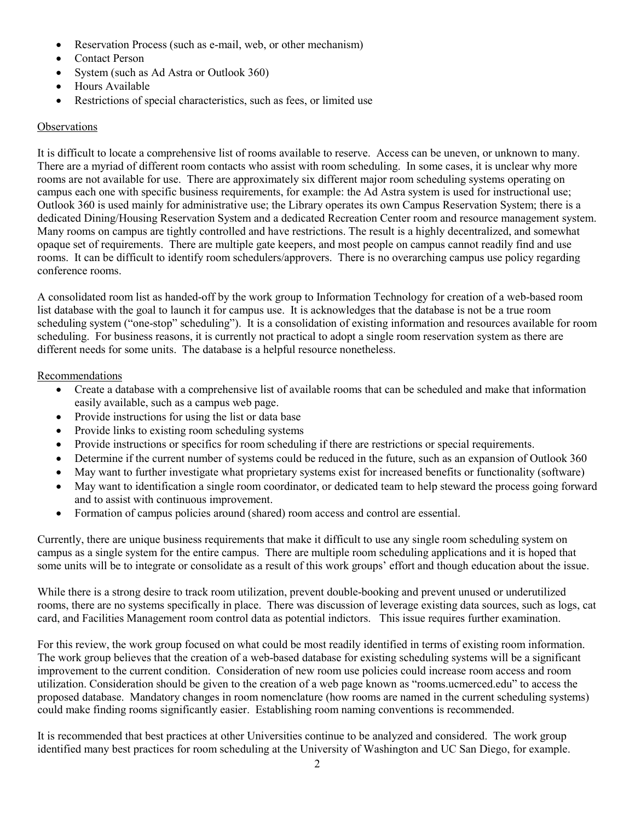- Reservation Process (such as e-mail, web, or other mechanism)
- Contact Person
- System (such as Ad Astra or Outlook 360)
- Hours Available
- Restrictions of special characteristics, such as fees, or limited use

## **Observations**

It is difficult to locate a comprehensive list of rooms available to reserve. Access can be uneven, or unknown to many. There are a myriad of different room contacts who assist with room scheduling. In some cases, it is unclear why more rooms are not available for use. There are approximately six different major room scheduling systems operating on campus each one with specific business requirements, for example: the Ad Astra system is used for instructional use; Outlook 360 is used mainly for administrative use; the Library operates its own Campus Reservation System; there is a dedicated Dining/Housing Reservation System and a dedicated Recreation Center room and resource management system. Many rooms on campus are tightly controlled and have restrictions. The result is a highly decentralized, and somewhat opaque set of requirements. There are multiple gate keepers, and most people on campus cannot readily find and use rooms. It can be difficult to identify room schedulers/approvers. There is no overarching campus use policy regarding conference rooms.

A consolidated room list as handed-off by the work group to Information Technology for creation of a web-based room list database with the goal to launch it for campus use. It is acknowledges that the database is not be a true room scheduling system ("one-stop" scheduling"). It is a consolidation of existing information and resources available for room scheduling. For business reasons, it is currently not practical to adopt a single room reservation system as there are different needs for some units. The database is a helpful resource nonetheless.

#### Recommendations

- Create a database with a comprehensive list of available rooms that can be scheduled and make that information easily available, such as a campus web page.
- Provide instructions for using the list or data base
- Provide links to existing room scheduling systems
- Provide instructions or specifics for room scheduling if there are restrictions or special requirements.
- Determine if the current number of systems could be reduced in the future, such as an expansion of Outlook 360
- May want to further investigate what proprietary systems exist for increased benefits or functionality (software)
- May want to identification a single room coordinator, or dedicated team to help steward the process going forward and to assist with continuous improvement.
- Formation of campus policies around (shared) room access and control are essential.

Currently, there are unique business requirements that make it difficult to use any single room scheduling system on campus as a single system for the entire campus. There are multiple room scheduling applications and it is hoped that some units will be to integrate or consolidate as a result of this work groups' effort and though education about the issue.

While there is a strong desire to track room utilization, prevent double-booking and prevent unused or underutilized rooms, there are no systems specifically in place. There was discussion of leverage existing data sources, such as logs, cat card, and Facilities Management room control data as potential indictors. This issue requires further examination.

For this review, the work group focused on what could be most readily identified in terms of existing room information. The work group believes that the creation of a web-based database for existing scheduling systems will be a significant improvement to the current condition. Consideration of new room use policies could increase room access and room utilization. Consideration should be given to the creation of a web page known as "rooms.ucmerced.edu" to access the proposed database. Mandatory changes in room nomenclature (how rooms are named in the current scheduling systems) could make finding rooms significantly easier. Establishing room naming conventions is recommended.

It is recommended that best practices at other Universities continue to be analyzed and considered. The work group identified many best practices for room scheduling at the University of Washington and UC San Diego, for example.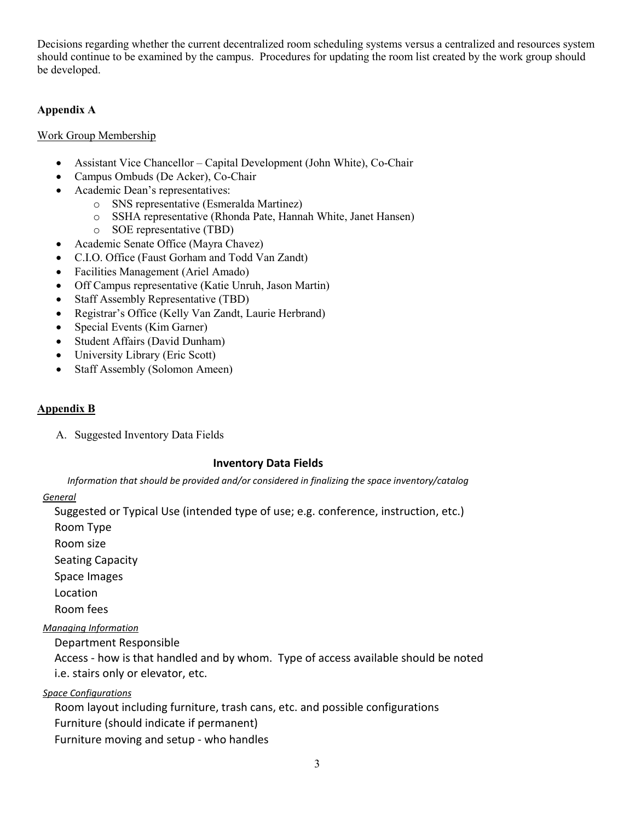Decisions regarding whether the current decentralized room scheduling systems versus a centralized and resources system should continue to be examined by the campus. Procedures for updating the room list created by the work group should be developed.

## **Appendix A**

## Work Group Membership

- Assistant Vice Chancellor Capital Development (John White), Co-Chair
- Campus Ombuds (De Acker), Co-Chair
- Academic Dean's representatives:
	- o SNS representative (Esmeralda Martinez)
	- o SSHA representative (Rhonda Pate, Hannah White, Janet Hansen)
	- o SOE representative (TBD)
- Academic Senate Office (Mayra Chavez)
- x C.I.O. Office (Faust Gorham and Todd Van Zandt)
- Facilities Management (Ariel Amado)
- Off Campus representative (Katie Unruh, Jason Martin)
- Staff Assembly Representative (TBD)
- Registrar's Office (Kelly Van Zandt, Laurie Herbrand)
- Special Events (Kim Garner)
- Student Affairs (David Dunham)
- $\bullet$  University Library (Eric Scott)
- Staff Assembly (Solomon Ameen)

## **Appendix B**

A. Suggested Inventory Data Fields

#### **Inventory Data Fields**

*Information that should be provided and/or considered in finalizing the space inventory/catalog* 

#### *General*

Suggested or Typical Use (intended type of use; e.g. conference, instruction, etc.)

Room Type

Room size

Seating Capacity

Space Images

Location

Room fees

## *Managing Information*

Department Responsible

Access - how is that handled and by whom. Type of access available should be noted i.e. stairs only or elevator, etc.

*Space Configurations*

Room layout including furniture, trash cans, etc. and possible configurations Furniture (should indicate if permanent) Furniture moving and setup - who handles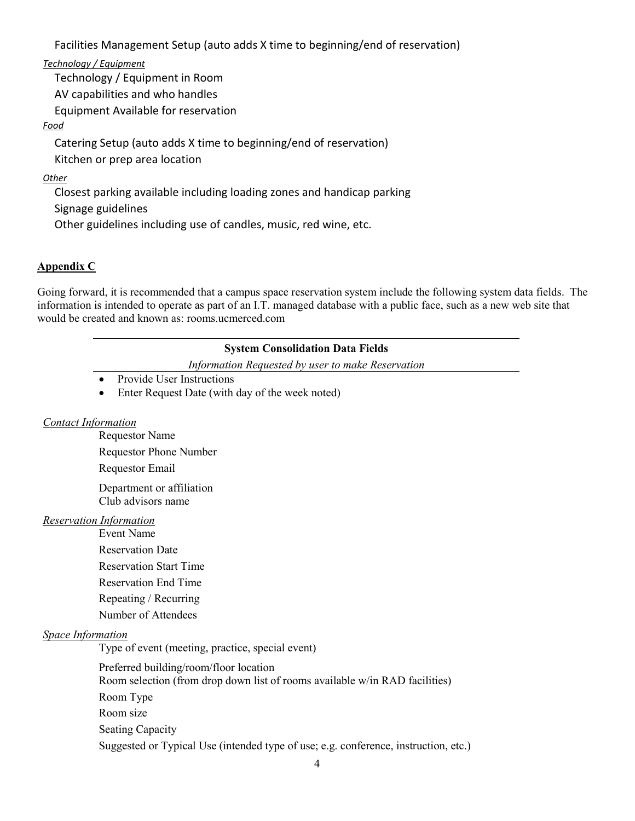Facilities Management Setup (auto adds X time to beginning/end of reservation)

*Technology / Equipment*

Technology / Equipment in Room AV capabilities and who handles Equipment Available for reservation

## *Food*

Catering Setup (auto adds X time to beginning/end of reservation) Kitchen or prep area location

## *Other*

Closest parking available including loading zones and handicap parking Signage guidelines Other guidelines including use of candles, music, red wine, etc.

## **Appendix C**

Going forward, it is recommended that a campus space reservation system include the following system data fields. The information is intended to operate as part of an I.T. managed database with a public face, such as a new web site that would be created and known as: rooms.ucmerced.com

## **System Consolidation Data Fields**

*Information Requested by user to make Reservation*

- $\bullet$  Provide User Instructions
- Enter Request Date (with day of the week noted)

## *Contact Information*

Requestor Name Requestor Phone Number Requestor Email Department or affiliation

Club advisors name

## *Reservation Information*

Event Name Reservation Date Reservation Start Time Reservation End Time Repeating / Recurring Number of Attendees

## *Space Information*

Type of event (meeting, practice, special event)

Preferred building/room/floor location Room selection (from drop down list of rooms available w/in RAD facilities) Room Type Room size Seating Capacity Suggested or Typical Use (intended type of use; e.g. conference, instruction, etc.)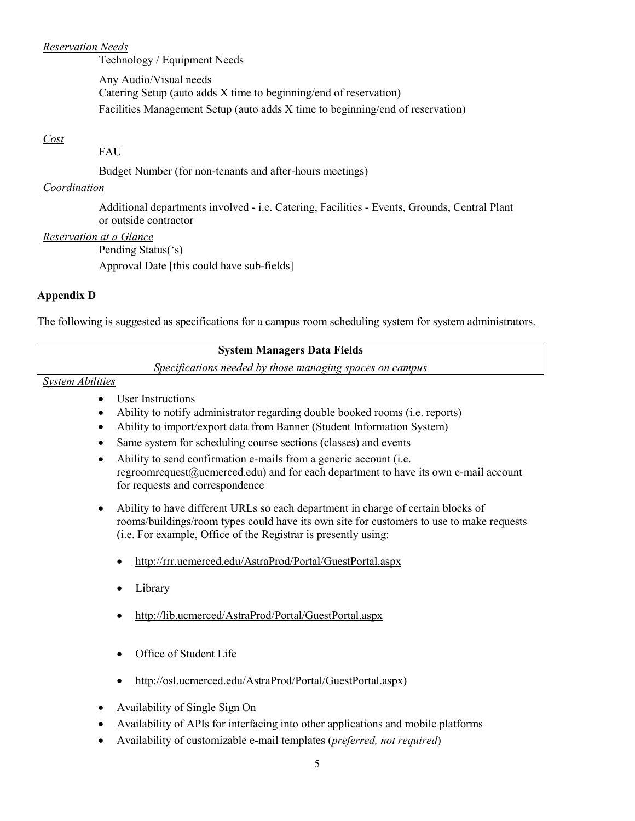#### *Reservation Needs*

Technology / Equipment Needs

Any Audio/Visual needs Catering Setup (auto adds X time to beginning/end of reservation) Facilities Management Setup (auto adds X time to beginning/end of reservation)

## *Cost*

FAU

Budget Number (for non-tenants and after-hours meetings)

#### *Coordination*

Additional departments involved - i.e. Catering, Facilities - Events, Grounds, Central Plant or outside contractor

## *Reservation at a Glance*

Pending Status('s)

Approval Date [this could have sub-fields]

## **Appendix D**

The following is suggested as specifications for a campus room scheduling system for system administrators.

## **System Managers Data Fields**

*Specifications needed by those managing spaces on campus*

#### *System Abilities*

- User Instructions
- Ability to notify administrator regarding double booked rooms (i.e. reports)
- x Ability to import/export data from Banner (Student Information System)
- Same system for scheduling course sections (classes) and events
- $\bullet$  Ability to send confirmation e-mails from a generic account (i.e. regroomrequest@ucmerced.edu) and for each department to have its own e-mail account for requests and correspondence
- Ability to have different URLs so each department in charge of certain blocks of rooms/buildings/room types could have its own site for customers to use to make requests (i.e. For example, Office of the Registrar is presently using:
	- x <http://rrr.ucmerced.edu/AstraProd/Portal/GuestPortal.aspx>
	- Library
	- x <http://lib.ucmerced/AstraProd/Portal/GuestPortal.aspx>
	- Office of Student Life
	- [http://osl.ucmerced.edu/AstraProd/Portal/GuestPortal.aspx\)](http://osl.ucmerced.edu/AstraProd/Portal/GuestPortal.aspx)
- Availability of Single Sign On
- x Availability of APIs for interfacing into other applications and mobile platforms
- x Availability of customizable e-mail templates (*preferred, not required*)